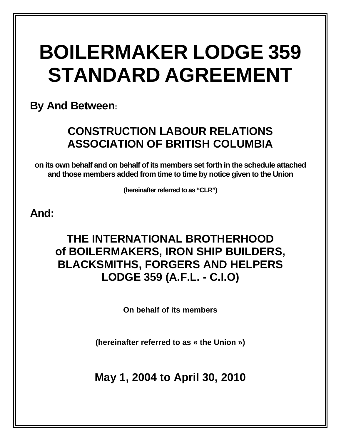# **BOILERMAKER LODGE 359 STANDARD AGREEMENT**

**By And Between:** 

# **CONSTRUCTION LABOUR RELATIONS ASSOCIATION OF BRITISH COLUMBIA**

**on its own behalf and on behalf of its members set forth in the schedule attached and those members added from time to time by notice given to the Union** 

**(hereinafter referred to as "CLR")** 

# **And:**

# **THE INTERNATIONAL BROTHERHOOD of BOILERMAKERS, IRON SHIP BUILDERS, BLACKSMITHS, FORGERS AND HELPERS LODGE 359 (A.F.L. - C.I.O)**

**On behalf of its members** 

**(hereinafter referred to as « the Union »)** 

**May 1, 2004 to April 30, 2010**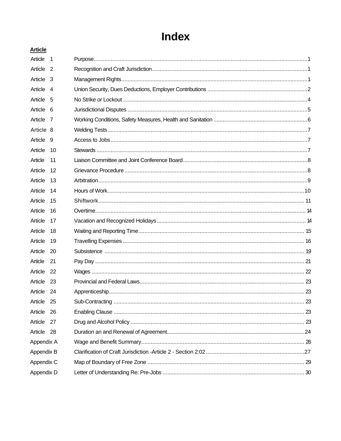# Index

| <b>Article</b> |                          |  |
|----------------|--------------------------|--|
| Article        | $\overline{\phantom{0}}$ |  |
| Article 2      |                          |  |
| Article 3      |                          |  |
| Article 4      |                          |  |
| Article 5      |                          |  |
| Article 6      |                          |  |
| Article 7      |                          |  |
| Article 8      |                          |  |
| Article 9      |                          |  |
| Article        | 10                       |  |
| Article        | 11                       |  |
| Article        | 12                       |  |
| Article        | 13                       |  |
| Article        | 14                       |  |
| Article        | 15                       |  |
| Article        | 16                       |  |
| Article        | 17                       |  |
| Article        | 18                       |  |
| Article        | 19                       |  |
| Article        | 20                       |  |
| Article        | 21                       |  |
| Article        | - 22                     |  |
| Article 23     |                          |  |
| Article 24     |                          |  |
| Article 25     |                          |  |
| Article        | -26                      |  |
| Article        | 27                       |  |
| Article        | -28                      |  |
| Appendix A     |                          |  |
| Appendix B     |                          |  |
| Appendix C     |                          |  |
| Appendix D     |                          |  |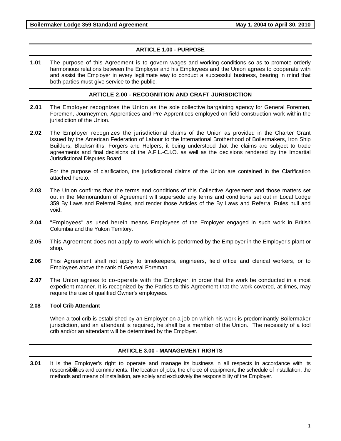#### **ARTICLE 1.00 - PURPOSE**

**1.01** The purpose of this Agreement is to govern wages and working conditions so as to promote orderly harmonious relations between the Employer and his Employees and the Union agrees to cooperate with and assist the Employer in every legitimate way to conduct a successful business, bearing in mind that both parties must give service to the public.

#### **ARTICLE 2.00 - RECOGNITION AND CRAFT JURISDICTION**

- **2.01** The Employer recognizes the Union as the sole collective bargaining agency for General Foremen, Foremen, Journeymen, Apprentices and Pre Apprentices employed on field construction work within the jurisdiction of the Union.
- **2.02** The Employer recognizes the jurisdictional claims of the Union as provided in the Charter Grant issued by the American Federation of Labour to the International Brotherhood of Boilermakers, Iron Ship Builders, Blacksmiths, Forgers and Helpers, it being understood that the claims are subject to trade agreements and final decisions of the A.F.L.-C.I.O. as well as the decisions rendered by the Impartial Jurisdictional Disputes Board.

For the purpose of clarification, the jurisdictional claims of the Union are contained in the Clarification attached hereto.

- **2.03** The Union confirms that the terms and conditions of this Collective Agreement and those matters set out in the Memorandum of Agreement will supersede any terms and conditions set out in Local Lodge 359 By Laws and Referral Rules, and render those Articles of the By Laws and Referral Rules null and void.
- **2.04** "Employees" as used herein means Employees of the Employer engaged in such work in British Columbia and the Yukon Territory.
- **2.05** This Agreement does not apply to work which is performed by the Employer in the Employer's plant or shop.
- **2.06** This Agreement shall not apply to timekeepers, engineers, field office and clerical workers, or to Employees above the rank of General Foreman.
- **2.07** The Union agrees to co-operate with the Employer, in order that the work be conducted in a most expedient manner. It is recognized by the Parties to this Agreement that the work covered, at times, may require the use of qualified Owner's employees.

#### **2.08 Tool Crib Attendant**

When a tool crib is established by an Employer on a job on which his work is predominantly Boilermaker jurisdiction, and an attendant is required, he shall be a member of the Union. The necessity of a tool crib and/or an attendant will be determined by the Employer.

#### **ARTICLE 3.00 - MANAGEMENT RIGHTS**

**3.01** It is the Employer's right to operate and manage its business in all respects in accordance with its responsibilities and commitments. The location of jobs, the choice of equipment, the schedule of installation, the methods and means of installation, are solely and exclusively the responsibility of the Employer.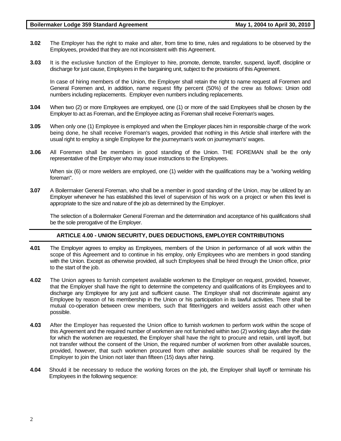- **3.02** The Employer has the right to make and alter, from time to time, rules and regulations to be observed by the Employees, provided that they are not inconsistent with this Agreement.
- **3.03** It is the exclusive function of the Employer to hire, promote, demote, transfer, suspend, layoff, discipline or discharge for just cause, Employees in the bargaining unit, subject to the provisions of this Agreement.

In case of hiring members of the Union, the Employer shall retain the right to name request all Foremen and General Foremen and, in addition, name request fifty percent (50%) of the crew as follows: Union odd numbers including replacements. Employer even numbers including replacements.

- **3.04** When two (2) or more Employees are employed, one (1) or more of the said Employees shall be chosen by the Employer to act as Foreman, and the Employee acting as Foreman shall receive Foreman's wages.
- **3.05** When only one (1) Employee is employed and when the Employer places him in responsible charge of the work being done, he shall receive Foreman's wages, provided that nothing in this Article shall interfere with the usual right to employ a single Employee for the journeyman's work on journeyman's' wages.
- **3.06** All Foremen shall be members in good standing of the Union. THE FOREMAN shall be the only representative of the Employer who may issue instructions to the Employees.

When six (6) or more welders are employed, one (1) welder with the qualifications may be a "working welding foreman".

**3.07** A Boilermaker General Foreman, who shall be a member in good standing of the Union, may be utilized by an Employer whenever he has established this level of supervision of his work on a project or when this level is appropriate to the size and nature of the job as determined by the Employer.

The selection of a Boilermaker General Foreman and the determination and acceptance of his qualifications shall be the sole prerogative of the Employer.

#### **ARTICLE 4.00 - UNION SECURITY, DUES DEDUCTIONS, EMPLOYER CONTRIBUTIONS**

- **4.01** The Employer agrees to employ as Employees, members of the Union in performance of all work within the scope of this Agreement and to continue in his employ, only Employees who are members in good standing with the Union. Except as otherwise provided, all such Employees shall be hired through the Union office, prior to the start of the job.
- **4.02** The Union agrees to furnish competent available workmen to the Employer on request, provided, however, that the Employer shall have the right to determine the competency and qualifications of its Employees and to discharge any Employee for any just and sufficient cause. The Employer shall not discriminate against any Employee by reason of his membership in the Union or his participation in its lawful activities. There shall be mutual co-operation between crew members, such that fitter/riggers and welders assist each other when possible.
- **4.03** After the Employer has requested the Union office to furnish workmen to perform work within the scope of this Agreement and the required number of workmen are not furnished within two (2) working days after the date for which the workmen are requested, the Employer shall have the right to procure and retain, until layoff, but not transfer without the consent of the Union, the required number of workmen from other available sources, provided, however, that such workmen procured from other available sources shall be required by the Employer to join the Union not later than fifteen (15) days after hiring.
- **4.04** Should it be necessary to reduce the working forces on the job, the Employer shall layoff or terminate his Employees in the following sequence: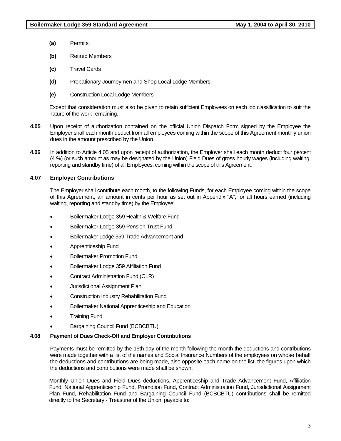- **(a)** Permits
- **(b)** Retired Members
- **(c)** Travel Cards
- **(d)** Probationary Journeymen and Shop Local Lodge Members
- **(e)** Construction Local Lodge Members

Except that consideration must also be given to retain sufficient Employees on each job classification to suit the nature of the work remaining.

- **4.05** Upon receipt of authorization contained on the official Union Dispatch Form signed by the Employee the Employer shall each month deduct from all employees coming within the scope of this Agreement monthly union dues in the amount prescribed by the Union.
- **4.06** In addition to Article 4:05 and upon receipt of authorization, the Employer shall each month deduct four percent (4 %) (or such amount as may be designated by the Union) Field Dues of gross hourly wages (including waiting, reporting and standby time) of all Employees, coming within the scope of this Agreement.

### **4.07 Employer Contributions**

The Employer shall contribute each month, to the following Funds, for each Employee coming within the scope of this Agreement, an amount in cents per hour as set out in Appendix "A", for all hours earned (including waiting, reporting and standby time) by the Employee:

- Boilermaker Lodge 359 Health & Welfare Fund
- Boilermaker Lodge 359 Pension Trust Fund
- Boilermaker Lodge 359 Trade Advancement and
- Apprenticeship Fund
- Boilermaker Promotion Fund
- Boilermaker Lodge 359 Affiliation Fund
- Contract Administration Fund (CLR)
- Jurisdictional Assignment Plan
- Construction Industry Rehabilitation Fund
- Boilermaker National Apprenticeship and Education
- Training Fund
- Bargaining Council Fund (BCBCBTU)

#### **4.08 Payment of Dues Check-Off and Employer Contributions**

Payments must be remitted by the 15th day of the month following the month the deductions and contributions were made together with a list of the names and Social Insurance Numbers of the employees on whose behalf the deductions and contributions are being made, also opposite each name on the list, the figures upon which the deductions and contributions were made shall be shown.

Monthly Union Dues and Field Dues deductions, Apprenticeship and Trade Advancement Fund, Affiliation Fund, National Apprenticeship Fund, Promotion Fund, Contract Administration Fund, Jurisdictional Assignment Plan Fund, Rehabilitation Fund and Bargaining Council Fund (BCBCBTU) contributions shall be remitted directly to the Secretary - Treasurer of the Union, payable to: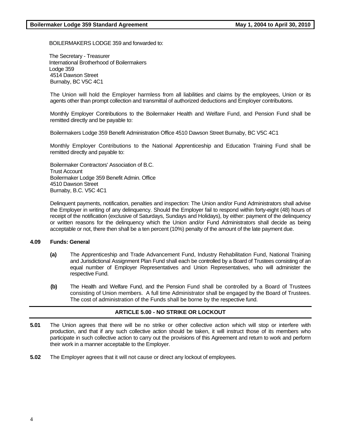BOILERMAKERS LODGE 359 and forwarded to:

The Secretary - Treasurer International Brotherhood of Boilermakers Lodge 359 4514 Dawson Street Burnaby, BC V5C 4C1

The Union will hold the Employer harmless from all liabilities and claims by the employees, Union or its agents other than prompt collection and transmittal of authorized deductions and Employer contributions.

Monthly Employer Contributions to the Boilermaker Health and Welfare Fund, and Pension Fund shall be remitted directly and be payable to:

Boilermakers Lodge 359 Benefit Administration Office 4510 Dawson Street Burnaby, BC V5C 4C1

Monthly Employer Contributions to the National Apprenticeship and Education Training Fund shall be remitted directly and payable to:

Boilermaker Contractors' Association of B.C. Trust Account Boilermaker Lodge 359 Benefit Admin. Office 4510 Dawson Street Burnaby, B.C. V5C 4C1

Delinquent payments, notification, penalties and inspection: The Union and/or Fund Administrators shall advise the Employer in writing of any delinquency. Should the Employer fail to respond within forty-eight (48) hours of receipt of the notification (exclusive of Saturdays, Sundays and Holidays), by either: payment of the delinquency or written reasons for the delinquency which the Union and/or Fund Administrators shall decide as being acceptable or not, there then shall be a ten percent (10%) penalty of the amount of the late payment due.

#### **4.09 Funds: General**

- **(a)** The Apprenticeship and Trade Advancement Fund, Industry Rehabilitation Fund, National Training and Jurisdictional Assignment Plan Fund shall each be controlled by a Board of Trustees consisting of an equal number of Employer Representatives and Union Representatives, who will administer the respective Fund.
- **(b)** The Health and Welfare Fund, and the Pension Fund shall be controlled by a Board of Trustees consisting of Union members. A full time Administrator shall be engaged by the Board of Trustees. The cost of administration of the Funds shall be borne by the respective fund.

# **ARTICLE 5.00 - NO STRIKE OR LOCKOUT**

- **5.01** The Union agrees that there will be no strike or other collective action which will stop or interfere with production, and that if any such collective action should be taken, it will instruct those of its members who participate in such collective action to carry out the provisions of this Agreement and return to work and perform their work in a manner acceptable to the Employer.
- **5.02** The Employer agrees that it will not cause or direct any lockout of employees.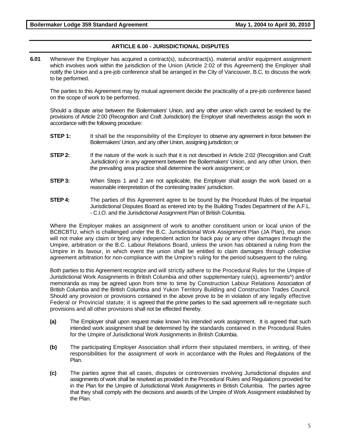# **ARTICLE 6.00 - JURISDICTIONAL DISPUTES**

**6.01** Whenever the Employer has acquired a contract(s), subcontract(s), material and/or equipment assignment which involves work within the jurisdiction of the Union (Article 2:02 of this Agreement) the Employer shall notify the Union and a pre-job conference shall be arranged in the City of Vancouver, B.C. to discuss the work to be performed.

The parties to this Agreement may by mutual agreement decide the practicality of a pre-job conference based on the scope of work to be performed.

Should a dispute arise between the Boilermakers' Union, and any other union which cannot be resolved by the provisions of Article 2:00 (Recognition and Craft Jurisdiction) the Employer shall nevertheless assign the work in accordance with the following procedure:

- **STEP 1:** It shall be the responsibility of the Employer to observe any agreement in force between the Boilermakers' Union, and any other Union, assigning jurisdiction; or
- **STEP 2:** If the nature of the work is such that it is not described in Article 2:02 (Recognition and Craft Jurisdiction) or in any agreement between the Boilermakers' Union, and any other Union, then the prevailing area practice shall determine the work assignment; or
- **STEP 3:** When Steps 1 and 2 are not applicable, the Employer shall assign the work based on a reasonable interpretation of the contesting trades' jurisdiction.
- **STEP 4:** The parties of this Agreement agree to be bound by the Procedural Rules of the Impartial Jurisdictional Disputes Board as entered into by the Building Trades Department of the A.F.L. - C.I.O. and the Jurisdictional Assignment Plan of British Columbia.

Where the Employer makes an assignment of work to another constituent union or local union of the BCBCBTU, which is challenged under the B.C. Jurisdictional Work Assignment Plan (JA Plan), the union will not make any claim or bring any independent action for back pay or any other damages through the Umpire, arbitration or the B.C. Labour Relations Board, unless the union has obtained a ruling from the Umpire in its favour, in which event the union shall be entitled to claim damages through collective agreement arbitration for non-compliance with the Umpire's ruling for the period subsequent to the ruling.

Both parties to this Agreement recognize and will strictly adhere to the Procedural Rules for the Umpire of Jurisdictional Work Assignments in British Columbia and other supplementary rule(s), agreements^) and/or memoranda as may be agreed upon from time to time by Construction Labour Relations Association of British Columbia and the British Columbia and Yukon Territory Building and Construction Trades Council. Should any provision or provisions contained in the above prove to be in violation of any legally effective Federal or Provincial statute; it is agreed that the prime parties to the said agreement will re-negotiate such provisions and all other provisions shall not be effected thereby.

- **(a)** The Employer shall upon request make known his intended work assignment. It is agreed that such intended work assignment shall be determined by the standards contained in the Procedural Rules for the Umpire of Jurisdictional Work Assignments in British Columbia.
- **(b)** The participating Employer Association shall inform their stipulated members, in writing, of their responsibilities for the assignment of work in accordance with the Rules and Regulations of the Plan.
- **(c)** The parties agree that all cases, disputes or controversies involving Jurisdictional disputes and assignments of work shall be resolved as provided in the Procedural Rules and Regulations provided for in the Plan for the Umpire of Jurisdictional Work Assignments in British Columbia. The parties agree that they shall comply with the decisions and awards of the Umpire of Work Assignment established by the Plan.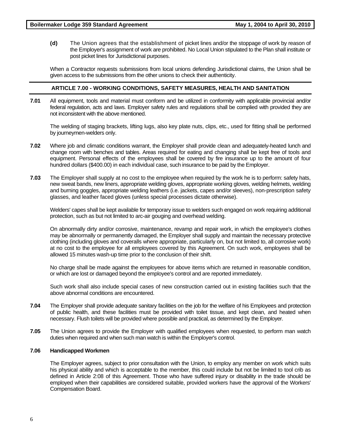**(d)** The Union agrees that the establishment of picket lines and/or the stoppage of work by reason of the Employer's assignment of work are prohibited. No Local Union stipulated to the Plan shall institute or post picket lines for Jurisdictional purposes.

When a Contractor requests submissions from local unions defending Jurisdictional claims, the Union shall be given access to the submissions from the other unions to check their authenticity.

#### **ARTICLE 7.00 - WORKING CONDITIONS, SAFETY MEASURES, HEALTH AND SANITATION**

**7.01** All equipment, tools and material must conform and be utilized in conformity with applicable provincial and/or federal regulation, acts and laws. Employer safety rules and regulations shall be complied with provided they are not inconsistent with the above mentioned.

The welding of staging brackets, lifting lugs, also key plate nuts, clips, etc., used for fitting shall be performed by journeymen-welders only.

- **7.02** Where job and climatic conditions warrant, the Employer shall provide clean and adequately-heated lunch and change room with benches and tables. Areas required for eating and changing shall be kept free of tools and equipment. Personal effects of the employees shall be covered by fire insurance up to the amount of four hundred dollars (\$400.00) in each individual case, such insurance to be paid by the Employer.
- **7.03** The Employer shall supply at no cost to the employee when required by the work he is to perform: safety hats, new sweat bands, new liners, appropriate welding gloves, appropriate working gloves, welding helmets, welding and burning goggles, appropriate welding leathers (i.e. jackets, capes and/or sleeves), non-prescription safety glasses, and leather faced gloves (unless special processes dictate otherwise).

Welders' capes shall be kept available for temporary issue to welders such engaged on work requiring additional protection, such as but not limited to arc-air gouging and overhead welding.

On abnormally dirty and/or corrosive, maintenance, revamp and repair work, in which the employee's clothes may be abnormally or permanently damaged, the Employer shall supply and maintain the necessary protective clothing (including gloves and coveralls where appropriate, particularly on, but not limited to, all corrosive work) at no cost to the employee for all employees covered by this Agreement. On such work, employees shall be allowed 15 minutes wash-up time prior to the conclusion of their shift.

No charge shall be made against the employees for above items which are returned in reasonable condition, or which are lost or damaged beyond the employee's control and are reported immediately.

Such work shall also include special cases of new construction carried out in existing facilities such that the above abnormal conditions are encountered.

- **7.04** The Employer shall provide adequate sanitary facilities on the job for the welfare of his Employees and protection of public health, and these facilities must be provided with toilet tissue, and kept clean, and heated when necessary. Flush toilets will be provided where possible and practical, as determined by the Employer.
- **7.05** The Union agrees to provide the Employer with qualified employees when requested, to perform man watch duties when required and when such man watch is within the Employer's control.

#### **7.06 Handicapped Workmen**

The Employer agrees, subject to prior consultation with the Union, to employ any member on work which suits his physical ability and which is acceptable to the member, this could include but not be limited to tool crib as defined in Article 2:08 of this Agreement. Those who have suffered injury or disability in the trade should be employed when their capabilities are considered suitable, provided workers have the approval of the Workers' Compensation Board.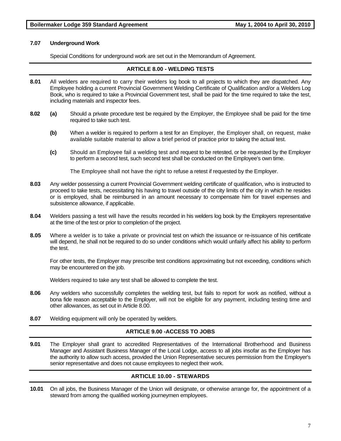#### **7.07 Underground Work**

Special Conditions for underground work are set out in the Memorandum of Agreement.

#### **ARTICLE 8.00 - WELDING TESTS**

- **8.01** All welders are required to carry their welders log book to all projects to which they are dispatched. Any Employee holding a current Provincial Government Welding Certificate of Qualification and/or a Welders Log Book, who is required to take a Provincial Government test, shall be paid for the time required to take the test, including materials and inspector fees.
- **8.02 (a)** Should a private procedure test be required by the Employer, the Employee shall be paid for the time required to take such test.
	- **(b)** When a welder is required to perform a test for an Employer, the Employer shall, on request, make available suitable material to allow a brief period of practice prior to taking the actual test.
	- **(c)** Should an Employee fail a welding test and request to be retested, or be requested by the Employer to perform a second test, such second test shall be conducted on the Employee's own time.

The Employee shall not have the right to refuse a retest if requested by the Employer.

- **8.03** Any welder possessing a current Provincial Government welding certificate of qualification, who is instructed to proceed to take tests, necessitating his having to travel outside of the city limits of the city in which he resides or is employed, shall be reimbursed in an amount necessary to compensate him for travel expenses and subsistence allowance, if applicable.
- **8.04** Welders passing a test will have the results recorded in his welders log book by the Employers representative at the time of the test or prior to completion of the project.
- **8.05** Where a welder is to take a private or provincial test on which the issuance or re-issuance of his certificate will depend, he shall not be required to do so under conditions which would unfairly affect his ability to perform the test.

For other tests, the Employer may prescribe test conditions approximating but not exceeding, conditions which may be encountered on the job.

Welders required to take any test shall be allowed to complete the test.

- **8.06** Any welders who successfully completes the welding test, but fails to report for work as notified, without a bona fide reason acceptable to the Employer, will not be eligible for any payment, including testing time and other allowances, as set out in Article 8.00.
- **8.07** Welding equipment will only be operated by welders.

### **ARTICLE 9.00 -ACCESS TO JOBS**

**9.01** The Employer shall grant to accredited Representatives of the International Brotherhood and Business Manager and Assistant Business Manager of the Local Lodge, access to all jobs insofar as the Employer has the authority to allow such access, provided the Union Representative secures permission from the Employer's senior representative and does not cause employees to neglect their work.

### **ARTICLE 10.00 - STEWARDS**

**10.01** On all jobs, the Business Manager of the Union will designate, or otherwise arrange for, the appointment of a steward from among the qualified working journeymen employees.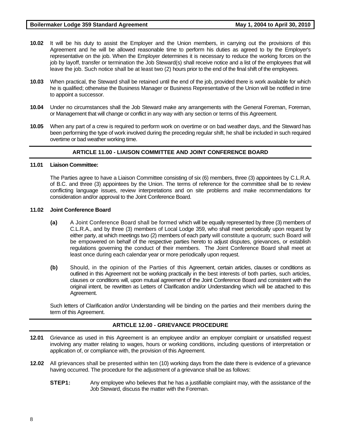- **10.02** It will be his duty to assist the Employer and the Union members, in carrying out the provisions of this Agreement and he will be allowed reasonable time to perform his duties as agreed to by the Employer's representative on the job. When the Employer determines it is necessary to reduce the working forces on the job by layoff, transfer or termination the Job Steward(s) shall receive notice and a list of the employees that will leave the job. Such notice shall be at least two (2) hours prior to the end of the final shift of the employees.
- **10.03** When practical, the Steward shall be retained until the end of the job, provided there is work available for which he is qualified; otherwise the Business Manager or Business Representative of the Union will be notified in time to appoint a successor.
- **10.04** Under no circumstances shall the Job Steward make any arrangements with the General Foreman, Foreman, or Management that will change or conflict in any way with any section or terms of this Agreement.
- **10.05** When any part of a crew is required to perform work on overtime or on bad weather days, and the Steward has been performing the type of work involved during the preceding regular shift, he shall be included in such required overtime or bad weather working time.

### **ARTICLE 11.00 - LIAISON COMMITTEE AND JOINT CONFERENCE BOARD**

#### **11.01 Liaison Committee:**

The Parties agree to have a Liaison Committee consisting of six (6) members, three (3) appointees by C.L.R.A. of B.C. and three (3) appointees by the Union. The terms of reference for the committee shall be to review conflicting language issues, review interpretations and on site problems and make recommendations for consideration and/or approval to the Joint Conference Board.

#### **11.02 Joint Conference Board**

- **(a)** A Joint Conference Board shall be formed which will be equally represented by three (3) members of C.L.R.A., and by three (3) members of Local Lodge 359, who shall meet periodically upon request by either party, at which meetings two (2) members of each party will constitute a quorum; such Board will be empowered on behalf of the respective parties hereto to adjust disputes, grievances, or establish regulations governing the conduct of their members. The Joint Conference Board shall meet at least once during each calendar year or more periodically upon request.
- **(b)** Should, in the opinion of the Parties of this Agreement, certain articles, clauses or conditions as outlined in this Agreement not be working practically in the best interests of both parties, such articles, clauses or conditions will, upon mutual agreement of the Joint Conference Board and consistent with the original intent, be rewritten as Letters of Clarification and/or Understanding which will be attached to this Agreement.

Such letters of Clarification and/or Understanding will be binding on the parties and their members during the term of this Agreement.

#### **ARTICLE 12.00 - GRIEVANCE PROCEDURE**

- **12.01** Grievance as used in this Agreement is an employee and/or an employer complaint or unsatisfied request involving any matter relating to wages, hours or working conditions, including questions of interpretation or application of, or compliance with, the provision of this Agreement.
- **12.02** All grievances shall be presented within ten (10) working days from the date there is evidence of a grievance having occurred. The procedure for the adjustment of a grievance shall be as follows:
	- **STEP1:** Any employee who believes that he has a justifiable complaint may, with the assistance of the Job Steward, discuss the matter with the Foreman.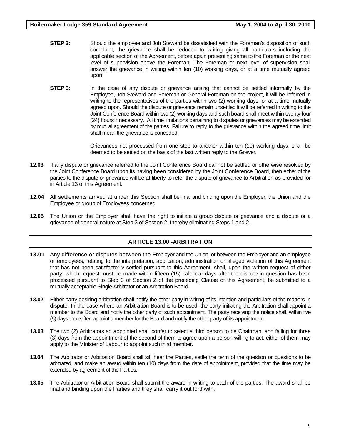- **STEP 2:** Should the employee and Job Steward be dissatisfied with the Foreman's disposition of such complaint, the grievance shall be reduced to writing giving all particulars including the applicable section of the Agreement, before again presenting same to the Foreman or the next level of supervision above the Foreman. The Foreman or next level of supervision shall answer the grievance in writing within ten (10) working days, or at a time mutually agreed upon.
- **STEP 3:** In the case of any dispute or grievance arising that cannot be settled informally by the Employee, Job Steward and Foreman or General Foreman on the project, it will be referred in writing to the representatives of the parties within two (2) working days, or at a time mutually agreed upon. Should the dispute or grievance remain unsettled it will be referred in writing to the Joint Conference Board within two (2) working days and such board shall meet within twenty-four (24) hours if necessary. All time limitations pertaining to disputes or grievances may be extended by mutual agreement of the parties. Failure to reply to the grievance within the agreed time limit shall mean the grievance is conceded.

Grievances not processed from one step to another within ten (10) working days, shall be deemed to be settled on the basis of the last written reply to the Griever.

- **12.03** If any dispute or grievance referred to the Joint Conference Board cannot be settled or otherwise resolved by the Joint Conference Board upon its having been considered by the Joint Conference Board, then either of the parties to the dispute or grievance will be at liberty to refer the dispute of grievance to Arbitration as provided for in Article 13 of this Agreement.
- **12.04** All settlements arrived at under this Section shall be final and binding upon the Employer, the Union and the Employee or group of Employees concerned
- **12.05** The Union or the Employer shall have the right to initiate a group dispute or grievance and a dispute or a grievance of general nature at Step 3 of Section 2, thereby eliminating Steps 1 and 2.

#### **ARTICLE 13.00 -ARBITRATION**

- **13.01** Any difference or disputes between the Employer and the Union, or between the Employer and an employee or employees, relating to the interpretation, application, administration or alleged violation of this Agreement that has not been satisfactorily settled pursuant to this Agreement, shall, upon the written request of either party, which request must be made within fifteen (15) calendar days after the dispute in question has been processed pursuant to Step 3 of Section 2 of the preceding Clause of this Agreement, be submitted to a mutually acceptable Single Arbitrator or an Arbitration Board.
- **13.02** Either party desiring arbitration shall notify the other party in writing of its intention and particulars of the matters in dispute. In the case where an Arbitration Board is to be used, the party initiating the Arbitration shall appoint a member to the Board and notify the other party of such appointment. The party receiving the notice shall, within five (5) days thereafter, appoint a member for the Board and notify the other party of its appointment.
- **13.03** The two (2) Arbitrators so appointed shall confer to select a third person to be Chairman, and failing for three (3) days from the appointment of the second of them to agree upon a person willing to act, either of them may apply to the Minister of Labour to appoint such third member.
- **13.04** The Arbitrator or Arbitration Board shall sit, hear the Parties, settle the term of the question or questions to be arbitrated, and make an award within ten (10) days from the date of appointment, provided that the time may be extended by agreement of the Parties.
- **13.05** The Arbitrator or Arbitration Board shall submit the award in writing to each of the parties. The award shall be final and binding upon the Parties and they shall carry it out forthwith.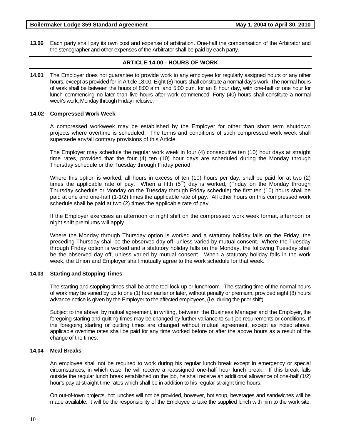**13.06** Each party shall pay its own cost and expense of arbitration. One-half the compensation of the Arbitrator and the stenographer and other expenses of the Arbitrator shall be paid by each party.

#### **ARTICLE 14.00 - HOURS OF WORK**

**14.01** The Employer does not guarantee to provide work to any employee for regularly assigned hours or any other hours, except as provided for in Article 18:00. Eight (8) hours shall constitute a normal day's work. The normal hours of work shall be between the hours of 8:00 a.m. and 5:00 p.m. for an 8 hour day, with one-half or one hour for lunch commencing no later than five hours after work commenced. Forty (40) hours shall constitute a normal week's work, Monday through Friday inclusive.

#### **14.02 Compressed Work Week**

A compressed workweek may be established by the Employer for other than short term shutdown projects where overtime is scheduled. The terms and conditions of such compressed work week shall supersede any/all contrary provisions of this Article.

The Employer may schedule the regular work week in four (4) consecutive ten (10) hour days at straight time rates, provided that the four (4) ten (10) hour days are scheduled during the Monday through Thursday schedule or the Tuesday through Friday period.

Where this option is worked, all hours in excess of ten (10) hours per day, shall be paid for at two (2) times the applicable rate of pay. When a fifth  $(5<sup>th</sup>)$  day is worked, (Friday on the Monday through Thursday schedule or Monday on the Tuesday through Friday schedule) the first ten (10) hours shall be paid at one and one-half (1-1/2) times the applicable rate of pay. All other hours on this compressed work schedule shall be paid at two (2) times the applicable rate of pay.

If the Employer exercises an afternoon or night shift on the compressed work week format, afternoon or night shift premiums will apply.

Where the Monday through Thursday option is worked and a statutory holiday falls on the Friday, the preceding Thursday shall be the observed day off, unless varied by mutual consent. Where the Tuesday through Friday option is worked and a statutory holiday falls on the Monday, the following Tuesday shall be the observed day off, unless varied by mutual consent. When a statutory holiday falls in the work week, the Union and Employer shall mutually agree to the work schedule for that week.

#### **14.03 Starting and Stopping Times**

The starting and stopping times shall be at the tool lock-up or lunchroom. The starting time of the normal hours of work may be varied by up to one (1) hour earlier or later, without penalty or premium, provided eight (8) hours advance notice is given by the Employer to the affected employees, (i.e. during the prior shift).

Subject to the above, by mutual agreement, in writing, between the Business Manager and the Employer, the foregoing starting and quitting times may be changed by further variance to suit job requirements or conditions. If the foregoing starting or quitting times are changed without mutual agreement, except as noted above, applicable overtime rates shall be paid for any time worked before or after the above hours as a result of the change of the times.

#### **14.04 Meal Breaks**

An employee shall not be required to work during his regular lunch break except in emergency or special circumstances, in which case, he will receive a reassigned one-half hour lunch break. If this break falls outside the regular lunch break established on the job, he shall receive an additional allowance of one-half (1/2) hour's pay at straight time rates which shall be in addition to his regular straight time hours.

On out-of-town projects, hot lunches will not be provided, however, hot soup, beverages and sandwiches will be made available. It will be the responsibility of the Employee to take the supplied lunch with him to the work site.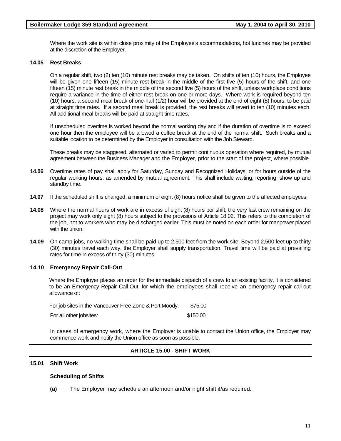Where the work site is within close proximity of the Employee's accommodations, hot lunches may be provided at the discretion of the Employer.

#### **14.05 Rest Breaks**

On a regular shift, two (2) ten (10) minute rest breaks may be taken. On shifts of ten (10) hours, the Employee will be given one fifteen (15) minute rest break in the middle of the first five (5) hours of the shift, and one fifteen (15) minute rest break in the middle of the second five (5) hours of the shift, unless workplace conditions require a variance in the time of either rest break on one or more days. Where work is required beyond ten (10) hours, a second meal break of one-half (1/2) hour will be provided at the end of eight (8) hours, to be paid at straight time rates. If a second meal break is provided, the rest breaks will revert to ten (10) minutes each. All additional meal breaks will be paid at straight time rates.

If unscheduled overtime is worked beyond the normal working day and if the duration of overtime is to exceed one hour then the employee will be allowed a coffee break at the end of the normal shift. Such breaks and a suitable location to be determined by the Employer in consultation with the Job Steward.

These breaks may be staggered, alternated or varied to permit continuous operation where required, by mutual agreement between the Business Manager and the Employer, prior to the start of the project, where possible.

- **14.06** Overtime rates of pay shall apply for Saturday, Sunday and Recognized Holidays, or for hours outside of the regular working hours, as amended by mutual agreement. This shall include waiting, reporting, show up and standby time.
- **14.07** If the scheduled shift is changed, a minimum of eight (8) hours notice shall be given to the affected employees.
- **14.08** Where the normal hours of work are in excess of eight (8) hours per shift, the very last crew remaining on the project may work only eight (8) hours subject to the provisions of Article 18:02. This refers to the completion of the job, not to workers who may be discharged earlier. This must be noted on each order for manpower placed with the union.
- **14.09** On camp jobs, no walking time shall be paid up to 2,500 feet from the work site. Beyond 2,500 feet up to thirty (30) minutes travel each way, the Employer shall supply transportation. Travel time will be paid at prevailing rates for time in excess of thirty (30) minutes.

#### **14.10 Emergency Repair Call-Out**

Where the Employer places an order for the immediate dispatch of a crew to an existing facility, it is considered to be an Emergency Repair Call-Out, for which the employees shall receive an emergency repair call-out allowance of:

| For job sites in the Vancouver Free Zone & Port Moody: | \$75.00  |
|--------------------------------------------------------|----------|
| For all other jobsites:                                | \$150.00 |

In cases of emergency work, where the Employer is unable to contact the Union office, the Employer may commence work and notify the Union office as soon as possible.

### **ARTICLE 15.00 - SHIFT WORK**

#### **15.01 Shift Work**

#### **Scheduling of Shifts**

**(a)** The Employer may schedule an afternoon and/or night shift if/as required.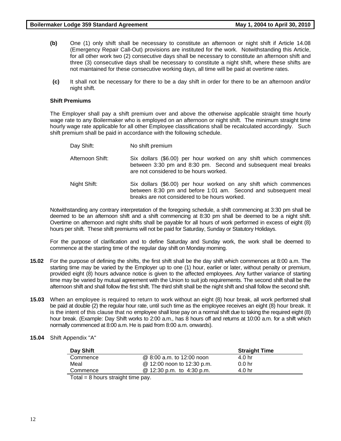- **(b)** One (1) only shift shall be necessary to constitute an afternoon or night shift if Article 14.08 (Emergency Repair Call-Out) provisions are instituted for the work. Notwithstanding this Article, for all other work two (2) consecutive days shall be necessary to constitute an afternoon shift and three (3) consecutive days shall be necessary to constitute a night shift, where these shifts are not maintained for these consecutive working days, all time will be paid at overtime rates.
- **(c)** It shall not be necessary for there to be a day shift in order for there to be an afternoon and/or night shift.

#### **Shift Premiums**

The Employer shall pay a shift premium over and above the otherwise applicable straight time hourly wage rate to any Boilermaker who is employed on an afternoon or night shift. The minimum straight time hourly wage rate applicable for all other Employee classifications shall be recalculated accordingly. Such shift premium shall be paid in accordance with the following schedule.

Day Shift: No shift premium Afternoon Shift: Six dollars (\$6.00) per hour worked on any shift which commences between 3:30 pm and 8:30 pm. Second and subsequent meal breaks are not considered to be hours worked. Night Shift: Six dollars (\$6.00) per hour worked on any shift which commences between 8:30 pm and before 1:01 am. Second and subsequent meal breaks are not considered to be hours worked.

Notwithstanding any contrary interpretation of the foregoing schedule, a shift commencing at 3:30 pm shall be deemed to be an afternoon shift and a shift commencing at 8:30 pm shall be deemed to be a night shift. Overtime on afternoon and night shifts shall be payable for all hours of work performed in excess of eight (8) hours per shift. These shift premiums will not be paid for Saturday, Sunday or Statutory Holidays.

For the purpose of clarification and to define Saturday and Sunday work, the work shall be deemed to commence at the starting time of the regular day shift on Monday morning.

- **15.02** For the purpose of defining the shifts, the first shift shall be the day shift which commences at 8:00 a.m. The starting time may be varied by the Employer up to one (1) hour, earlier or later, without penalty or premium, provided eight (8) hours advance notice is given to the affected employees. Any further variance of starting time may be varied by mutual agreement with the Union to suit job requirements. The second shift shall be the afternoon shift and shall follow the first shift. The third shift shall be the night shift and shall follow the second shift.
- **15.03** When an employee is required to return to work without an eight (8) hour break, all work performed shall be paid at double (2) the regular hour rate, until such time as the employee receives an eight (8) hour break. It is the intent of this clause that no employee shall lose pay on a normal shift due to taking the required eight (8) hour break. (Example: Day Shift works to 2:00 a.m., has 8 hours off and returns at 10:00 a.m. for a shift which normally commenced at 8:00 a.m. He is paid from 8:00 a.m. onwards).
- **15.04** Shift Appendix "A"

| Day Shift                            |                            | <b>Straight Time</b> |  |  |
|--------------------------------------|----------------------------|----------------------|--|--|
| Commence                             | @ 8:00 a.m. to 12:00 noon  | 4.0 hr               |  |  |
| Meal                                 | @ 12:00 noon to 12:30 p.m. | 0.0 hr               |  |  |
| Commence                             | @ 12:30 p.m. to 4:30 p.m.  | 4.0 hr               |  |  |
| Tatal Obscure students that a series |                            |                      |  |  |

Total = 8 hours straight time pay.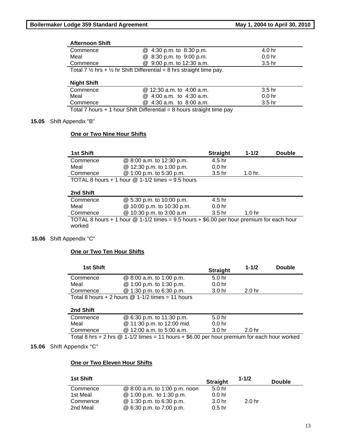# **Afternoon Shift**

| ARTHUM DINE                                                                                |                           |                   |  |  |
|--------------------------------------------------------------------------------------------|---------------------------|-------------------|--|--|
| Commence                                                                                   | @ 4:30 p.m. to 8:30 p.m.  | 4.0 hr            |  |  |
| Meal                                                                                       | @ 8:30 p.m. to 9:00 p.m.  | 0.0 <sub>hr</sub> |  |  |
| Commence                                                                                   | @ 9:00 p.m. to 12:30 a.m. | 3.5 <sub>hr</sub> |  |  |
| Total 7 $\frac{1}{2}$ hrs + $\frac{1}{2}$ hr Shift Differential = 8 hrs straight time pay. |                           |                   |  |  |

# **Night Shift**

| Commence | @ 12:30 a.m. to 4:00 a.m.                                                                                                                                                                                                     | 3.5 <sub>hr</sub> |  |
|----------|-------------------------------------------------------------------------------------------------------------------------------------------------------------------------------------------------------------------------------|-------------------|--|
| Meal     | $\omega$ 4:00 a.m. to 4:30 a.m.                                                                                                                                                                                               | 0.0 <sub>hr</sub> |  |
| Commence | $@4:30$ a.m. to 8:00 a.m.                                                                                                                                                                                                     | 3.5 <sub>hr</sub> |  |
|          | - The distribution of a distribution of the Microsoft Article and an additional control of the Microsoft Communication of the United States and Communication of the United States and Communication of the United States and |                   |  |

Total 7 hours  $+1$  hour Shift Differential = 8 hours straight time pay

#### **15.05** Shift Appendix "B"

# **One or Two Nine Hour Shifts**

| <b>1st Shift</b> |                                                      | <b>Straight</b>   | $1 - 1/2$          | <b>Double</b> |
|------------------|------------------------------------------------------|-------------------|--------------------|---------------|
| Commence         | @ 8:00 a.m. to 12:30 p.m.                            | 4.5 hr            |                    |               |
| Meal             | @ 12:30 p.m. to 1:00 p.m.                            | 0.0 <sub>hr</sub> |                    |               |
| Commence         | @ 1:00 p.m. to 5:30 p.m.                             | 3.5 hr            | 1.0 <sub>hr.</sub> |               |
|                  | TOTAL 8 hours $+$ 1 hour $@$ 1-1/2 times = 9.5 hours |                   |                    |               |

# **2nd Shift**

| Commence                                                                                  | @ 5:30 p.m. to 10:00 p.m.  | 4.5 hr            |                   |  |  |
|-------------------------------------------------------------------------------------------|----------------------------|-------------------|-------------------|--|--|
| Meal                                                                                      | @ 10:00 p.m. to 10:30 p.m. | 0.0 <sub>hr</sub> |                   |  |  |
| Commence                                                                                  | @ 10:30 p.m. to 3:00 a.m   | .3.5 hr           | 1.0 <sub>hr</sub> |  |  |
| TOTAL 8 hours + 1 hour $@1-1/2$ times = 9.5 hours + \$6.00 per hour premium for each hour |                            |                   |                   |  |  |
| worked                                                                                    |                            |                   |                   |  |  |

#### **15.06** Shift Appendix "C"

#### **One or Two Ten Hour Shifts**

| <b>1st Shift</b> |                                                      | <b>Straight</b>   | $1 - 1/2$         | <b>Double</b> |
|------------------|------------------------------------------------------|-------------------|-------------------|---------------|
| Commence         | @ 8:00 a.m. to 1:00 p.m.                             | 5.0 <sub>hr</sub> |                   |               |
| Meal             | @ 1:00 p.m. to 1:30 p.m.                             | 0.0 <sub>hr</sub> |                   |               |
| Commence         | @ 1:30 p.m. to 6:30 p.m.                             | 3.0 <sub>hr</sub> | 2.0 <sub>hr</sub> |               |
|                  | Total 8 hours $+ 2$ hours $@ 1-1/2$ times = 11 hours |                   |                   |               |

# **2nd Shift**

| <i>L</i> IIU VIIII |                                                                                              |                   |                   |
|--------------------|----------------------------------------------------------------------------------------------|-------------------|-------------------|
| Commence           | @ 6:30 p.m. to 11:30 p.m.                                                                    | .5.0 hr           |                   |
| Meal               | @ 11:30 p.m. to 12:00 mid.                                                                   | 0.0 <sub>hr</sub> |                   |
| Commence           | @ 12:00 a.m. to 5:00 a.m.                                                                    | 3.0 <sub>hr</sub> | 2.0 <sub>hr</sub> |
|                    | Tatel Q bys + Q bys @ A A /Q times A A bough + C QQ par bought in the fax saak bought with a |                   |                   |

Total 8 hrs + 2 hrs  $@$  1-1/2 times = 11 hours + \$6.00 per hour premium for each hour worked

#### **15.06** Shift Appendix "C"

#### **One or Two Eleven Hour Shifts**

| <b>1st Shift</b> |                               | <b>Straight</b>   | $1 - 1/2$         | <b>Double</b> |
|------------------|-------------------------------|-------------------|-------------------|---------------|
| Commence         | @ 8:00 a.m. to 1:00 p.m. noon | 5.0 <sub>hr</sub> |                   |               |
| 1st Meal         | @ 1:00 p.m. to 1:30 p.m.      | 0.0 <sub>hr</sub> |                   |               |
| Commence         | @ 1:30 p.m. to 6:30 p.m.      | 3.0 <sub>hr</sub> | 2.0 <sub>hr</sub> |               |
| 2nd Meal         | @ 6:30 p.m. to 7:00 p.m.      | $0.5$ hr          |                   |               |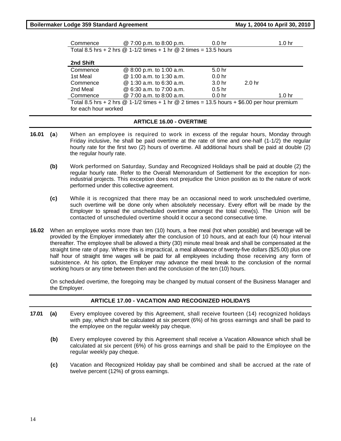| Boilermaker Lodge 359 Standard Agreement |                                                                                                 | May 1, 2004 to April 30, 2010 |                   |                   |
|------------------------------------------|-------------------------------------------------------------------------------------------------|-------------------------------|-------------------|-------------------|
| Commence                                 | @ 7:00 p.m. to 8:00 p.m.                                                                        | 0.0 <sub>hr</sub>             |                   | 1.0 <sub>hr</sub> |
|                                          | Total 8.5 hrs + 2 hrs $@ 1-1/2$ times + 1 hr $@ 2$ times = 13.5 hours                           |                               |                   |                   |
| 2nd Shift                                |                                                                                                 |                               |                   |                   |
| Commence                                 | @ 8:00 p.m. to 1:00 a.m.                                                                        | 5.0 <sub>hr</sub>             |                   |                   |
| 1st Meal                                 | $@1:00a.m.$ to 1:30 a.m.                                                                        | 0.0 <sub>hr</sub>             |                   |                   |
| Commence                                 | $@1:30$ a.m. to 6:30 a.m.                                                                       | 3.0 <sub>hr</sub>             | 2.0 <sub>hr</sub> |                   |
| 2nd Meal                                 | $@6:30a.m.$ to 7:00 a.m.                                                                        | 0.5 <sub>hr</sub>             |                   |                   |
| Commence                                 | @ 7:00 a.m. to 8:00 a.m.                                                                        | 0.0 <sub>hr</sub>             |                   | 1.0 <sub>hr</sub> |
|                                          | Total 8.5 hrs + 2 hrs $@$ 1-1/2 times + 1 hr $@$ 2 times = 13.5 hours + \$6.00 per hour premium |                               |                   |                   |
| for each hour worked                     |                                                                                                 |                               |                   |                   |
|                                          |                                                                                                 |                               |                   |                   |

#### **ARTICLE 16.00 - OVERTIME**

- **16.01 (a**) When an employee is required to work in excess of the regular hours, Monday through Friday inclusive, he shall be paid overtime at the rate of time and one-half (1-1/2) the regular hourly rate for the first two (2) hours of overtime. All additional hours shall be paid at double (2) the regular hourly rate.
	- **(b)** Work performed on Saturday, Sunday and Recognized Holidays shall be paid at double (2) the regular hourly rate. Refer to the Overall Memorandum of Settlement for the exception for nonindustrial projects. This exception does not prejudice the Union position as to the nature of work performed under this collective agreement.
	- **(c)** While it is recognized that there may be an occasional need to work unscheduled overtime, such overtime will be done only when absolutely necessary. Every effort will be made by the Employer to spread the unscheduled overtime amongst the total crew(s). The Union will be contacted of unscheduled overtime should it occur a second consecutive time.
- **16.02** When an employee works more than ten (10) hours, a free meal (hot when possible) and beverage will be provided by the Employer immediately after the conclusion of 10 hours, and at each four (4) hour interval thereafter. The employee shall be allowed a thirty (30) minute meal break and shall be compensated at the straight time rate of pay. Where this is impractical, a meal allowance of twenty-five dollars (\$25.00) plus one half hour of straight time wages will be paid for all employees including those receiving any form of subsistence. At his option, the Employer may advance the meal break to the conclusion of the normal working hours or any time between then and the conclusion of the ten (10) hours.

On scheduled overtime, the foregoing may be changed by mutual consent of the Business Manager and the Employer.

### **ARTICLE 17.00 - VACATION AND RECOGNIZED HOLIDAYS**

- **17.01 (a)** Every employee covered by this Agreement, shall receive fourteen (14) recognized holidays with pay, which shall be calculated at six percent (6%) of his gross earnings and shall be paid to the employee on the regular weekly pay cheque.
	- **(b)** Every employee covered by this Agreement shall receive a Vacation Allowance which shall be calculated at six percent (6%) of his gross earnings and shall be paid to the Employee on the regular weekly pay cheque.
	- **(c)** Vacation and Recognized Holiday pay shall be combined and shall be accrued at the rate of twelve percent (12%) of gross earnings.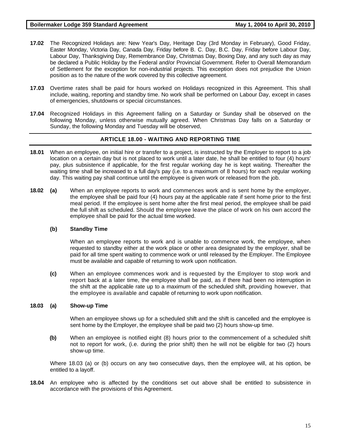- **17.02** The Recognized Holidays are: New Year's Day, Heritage Day (3rd Monday in February), Good Friday, Easter Monday, Victoria Day, Canada Day, Friday before B. C. Day, B.C. Day, Friday before Labour Day, Labour Day, Thanksgiving Day, Remembrance Day, Christmas Day, Boxing Day, and any such day as may be declared a Public Holiday by the Federal and/or Provincial Government. Refer to Overall Memorandum of Settlement for the exception for non-industrial projects. This exception does not prejudice the Union position as to the nature of the work covered by this collective agreement.
- **17.03** Overtime rates shall be paid for hours worked on Holidays recognized in this Agreement. This shall include, waiting, reporting and standby time. No work shall be performed on Labour Day, except in cases of emergencies, shutdowns or special circumstances.
- **17.04** Recognized Holidays in this Agreement falling on a Saturday or Sunday shall be observed on the following Monday, unless otherwise mutually agreed. When Christmas Day falls on a Saturday or Sunday, the following Monday and Tuesday will be observed,

### **ARTICLE 18.00 - WAITING AND REPORTING TIME**

- **18.01** When an employee, on initial hire or transfer to a project, is instructed by the Employer to report to a job location on a certain day but is not placed to work until a later date, he shall be entitled to four (4) hours' pay, plus subsistence if applicable, for the first regular working day he is kept waiting. Thereafter the waiting time shall be increased to a full day's pay (i.e. to a maximum of 8 hours) for each regular working day. This waiting pay shall continue until the employee is given work or released from the job.
- **18.02 (a)** When an employee reports to work and commences work and is sent home by the employer, the employee shall be paid four (4) hours pay at the applicable rate if sent home prior to the first meal period. If the employee is sent home after the first meal period, the employee shall be paid the full shift as scheduled. Should the employee leave the place of work on his own accord the employee shall be paid for the actual time worked.

### **(b) Standby Time**

When an employee reports to work and is unable to commence work, the employee, when requested to standby either at the work place or other area designated by the employer, shall be paid for all time spent waiting to commence work or until released by the Employer. The Employee must be available and capable of returning to work upon notification.

**(c)** When an employee commences work and is requested by the Employer to stop work and report back at a later time, the employee shall be paid, as if there had been no interruption in the shift at the applicable rate up to a maximum of the scheduled shift, providing however, that the employee is available and capable of returning to work upon notification.

#### **18.03 (a) Show-up Time**

When an employee shows up for a scheduled shift and the shift is cancelled and the employee is sent home by the Employer, the employee shall be paid two (2) hours show-up time.

**(b)** When an employee is notified eight (8) hours prior to the commencement of a scheduled shift not to report for work, (i.e. during the prior shift) then he will not be eligible for two (2) hours show-up time.

Where 18.03 (a) or (b) occurs on any two consecutive days, then the employee will, at his option, be entitled to a layoff.

**18.04** An employee who is affected by the conditions set out above shall be entitled to subsistence in accordance with the provisions of this Agreement.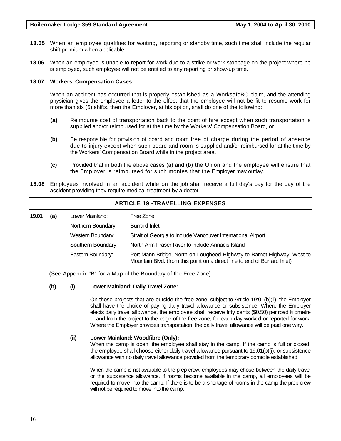- **18.05** When an employee qualifies for waiting, reporting or standby time, such time shall include the regular shift premium when applicable.
- **18.06** When an employee is unable to report for work due to a strike or work stoppage on the project where he is employed, such employee will not be entitled to any reporting or show-up time.

#### **18.07 Workers' Compensation Cases:**

When an accident has occurred that is properly established as a WorksafeBC claim, and the attending physician gives the employee a letter to the effect that the employee will not be fit to resume work for more than six (6) shifts, then the Employer, at his option, shall do one of the following:

- **(a)** Reimburse cost of transportation back to the point of hire except when such transportation is supplied and/or reimbursed for at the time by the Workers' Compensation Board, or
- **(b)** Be responsible for provision of board and room free of charge during the period of absence due to injury except when such board and room is supplied and/or reimbursed for at the time by the Workers' Compensation Board while in the project area.
- **(c)** Provided that in both the above cases (a) and (b) the Union and the employee will ensure that the Employer is reimbursed for such monies that the Employer may outlay.
- **18.08** Employees involved in an accident while on the job shall receive a full day's pay for the day of the accident providing they require medical treatment by a doctor.

**ARTICLE 19 -TRAVELLING EXPENSES** 

| (a) | Lower Mainland:    | Free Zone                                                                                                                                           |  |  |
|-----|--------------------|-----------------------------------------------------------------------------------------------------------------------------------------------------|--|--|
|     | Northern Boundary: | <b>Burrard Inlet</b>                                                                                                                                |  |  |
|     | Western Boundary:  | Strait of Georgia to include Vancouver International Airport                                                                                        |  |  |
|     | Southern Boundary: | North Arm Fraser River to include Annacis Island                                                                                                    |  |  |
|     | Eastern Boundary:  | Port Mann Bridge, North on Lougheed Highway to Barnet Highway, West to<br>Mountain Blvd. (from this point on a direct line to end of Burrard Inlet) |  |  |
|     |                    |                                                                                                                                                     |  |  |

(See Appendix "B" for a Map of the Boundary of the Free Zone)

#### **(b) (i) Lower Mainland: Daily Travel Zone:**

On those projects that are outside the free zone, subject to Article 19:01(b)(ii), the Employer shall have the choice of paying daily travel allowance or subsistence. Where the Employer elects daily travel allowance, the employee shall receive fifty cents (\$0.50) per road kilometre to and from the project to the edge of the free zone, for each day worked or reported for work. Where the Employer provides transportation, the daily travel allowance will be paid one way.

#### **(ii) Lower Mainland: Woodfibre (Only):**

When the camp is open, the employee shall stay in the camp. If the camp is full or closed, the employee shall choose either daily travel allowance pursuant to 19.01(b)(i), or subsistence allowance with no daily travel allowance provided from the temporary domicile established.

When the camp is not available to the prep crew, employees may chose between the daily travel or the subsistence allowance. If rooms become available in the camp, all employees will be required to move into the camp. If there is to be a shortage of rooms in the camp the prep crew will not be required to move into the camp.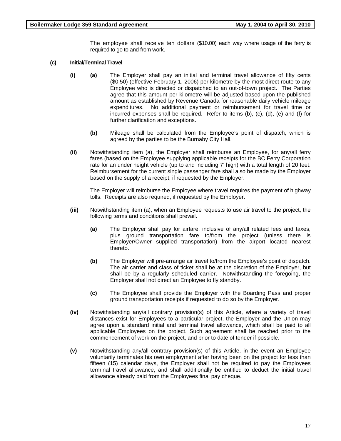The employee shall receive ten dollars (\$10.00) each way where usage of the ferry is required to go to and from work.

#### **(c) Initial/Terminal Travel**

- **(i) (a)** The Employer shall pay an initial and terminal travel allowance of fifty cents (\$0.50) (effective February 1, 2006) per kilometre by the most direct route to any Employee who is directed or dispatched to an out-of-town project. The Parties agree that this amount per kilometre will be adjusted based upon the published amount as established by Revenue Canada for reasonable daily vehicle mileage expenditures. No additional payment or reimbursement for travel time or incurred expenses shall be required. Refer to items  $(b)$ ,  $(c)$ ,  $(d)$ ,  $(e)$  and  $(f)$  for further clarification and exceptions.
	- **(b)** Mileage shall be calculated from the Employee's point of dispatch, which is agreed by the parties to be the Burnaby City Hall.
- **(ii)** Notwithstanding item (a), the Employer shall reimburse an Employee, for any/all ferry fares (based on the Employee supplying applicable receipts for the BC Ferry Corporation rate for an under height vehicle (up to and including 7' high) with a total length of 20 feet. Reimbursement for the current single passenger fare shall also be made by the Employer based on the supply of a receipt, if requested by the Employer.

The Employer will reimburse the Employee where travel requires the payment of highway tolls. Receipts are also required, if requested by the Employer.

- **(iii)** Notwithstanding item (a), when an Employee requests to use air travel to the project, the following terms and conditions shall prevail.
	- **(a)** The Employer shall pay for airfare, inclusive of any/all related fees and taxes, plus ground transportation fare to/from the project (unless there is Employer/Owner supplied transportation) from the airport located nearest thereto.
	- **(b)** The Employer will pre-arrange air travel to/from the Employee's point of dispatch. The air carrier and class of ticket shall be at the discretion of the Employer, but shall be by a regularly scheduled carrier. Notwithstanding the foregoing, the Employer shall not direct an Employee to fly standby.
	- **(c)** The Employee shall provide the Employer with the Boarding Pass and proper ground transportation receipts if requested to do so by the Employer.
- **(iv)** Notwithstanding any/all contrary provision(s) of this Article, where a variety of travel distances exist for Employees to a particular project, the Employer and the Union may agree upon a standard initial and terminal travel allowance, which shall be paid to all applicable Employees on the project. Such agreement shall be reached prior to the commencement of work on the project, and prior to date of tender if possible.
- **(v)** Notwithstanding any/all contrary provision(s) of this Article, in the event an Employee voluntarily terminates his own employment after having been on the project for less than fifteen (15) calendar days, the Employer shall not be required to pay the Employees terminal travel allowance, and shall additionally be entitled to deduct the initial travel allowance already paid from the Employees final pay cheque.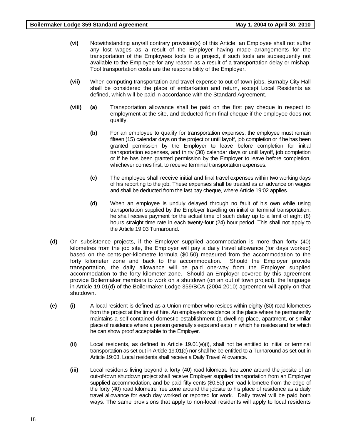- **(vi)** Notwithstanding any/all contrary provision(s) of this Article, an Employee shall not suffer any lost wages as a result of the Employer having made arrangements for the transportation of the Employees tools to a project, if such tools are subsequently not available to the Employee for any reason as a result of a transportation delay or mishap. Tool transportation costs are the responsibility of the Employer.
- **(vii)** When computing transportation and travel expense to out of town jobs, Burnaby City Hall shall be considered the place of embarkation and return, except Local Residents as defined, which will be paid in accordance with the Standard Agreement.
- **(viii) (a)** Transportation allowance shall be paid on the first pay cheque in respect to employment at the site, and deducted from final cheque if the employee does not qualify.
	- **(b)** For an employee to qualify for transportation expenses, the employee must remain fifteen (15) calendar days on the project or until layoff, job completion or if he has been granted permission by the Employer to leave before completion for initial transportation expenses, and thirty (30) calendar days or until layoff, job completion or if he has been granted permission by the Employer to leave before completion, whichever comes first, to receive terminal transportation expenses.
	- **(c)** The employee shall receive initial and final travel expenses within two working days of his reporting to the job. These expenses shall be treated as an advance on wages and shall be deducted from the last pay cheque, where Article 19:02 applies.
	- **(d)** When an employee is unduly delayed through no fault of his own while using transportation supplied by the Employer travelling on initial or terminal transportation, he shall receive payment for the actual time of such delay up to a limit of eight (8) hours straight time rate in each twenty-four (24) hour period. This shall not apply to the Article 19:03 Turnaround.
- **(d)** On subsistence projects, if the Employer supplied accommodation is more than forty (40) kilometres from the job site, the Employer will pay a daily travel allowance (for days worked) based on the cents-per-kilometre formula (\$0.50) measured from the accommodation to the forty kilometer zone and back to the accommodation. Should the Employer provide transportation, the daily allowance will be paid one-way from the Employer supplied accommodation to the forty kilometer zone. Should an Employer covered by this agreement provide Boilermaker members to work on a shutdown (on an out of town project), the language in Article 19.01(d) of the Boilermaker Lodge 359/BCA (2004-2010) agreement will apply on that shutdown.
- **(e) (i)** A local resident is defined as a Union member who resides within eighty (80) road kilometres from the project at the time of hire. An employee's residence is the place where he permanently maintains a self-contained domestic establishment (a dwelling place, apartment, or similar place of residence where a person generally sleeps and eats) in which he resides and for which he can show proof acceptable to the Employer.
	- **(ii)** Local residents, as defined in Article 19.01(e)(i), shall not be entitled to initial or terminal transportation as set out in Article 19:01(c) nor shall he be entitled to a Turnaround as set out in Article 19:03. Local residents shall receive a Daily Travel Allowance.
	- **(iii)** Local residents living beyond a forty (40) road kilometre free zone around the jobsite of an out-of-town shutdown project shall receive Employer supplied transportation from an Employer supplied accommodation, and be paid fifty cents (\$0.50) per road kilometre from the edge of the forty (40) road kilometre free zone around the jobsite to his place of residence as a daily travel allowance for each day worked or reported for work. Daily travel will be paid both ways. The same provisions that apply to non-local residents will apply to local residents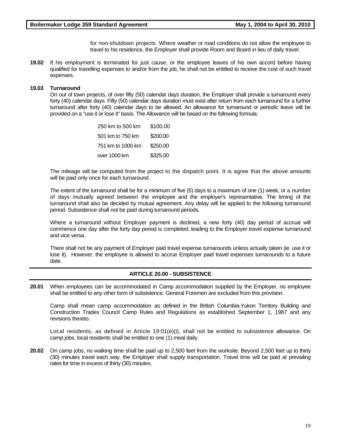for non-shutdown projects. Where weather or road conditions do not allow the employee to travel to his residence, the Employer shall provide Room and Board in lieu of daily travel.

**19.02** If his employment is terminated for just cause, or the employee leaves of his own accord before having qualified for travelling expenses to and/or from the job, he shall not be entitled to receive the cost of such travel expenses.

#### **19.03 Turnaround**

On out of town projects, of over fifty (50) calendar days duration, the Employer shall provide a turnaround every forty (40) calendar days. Fifty (50) calendar days duration must exist after return from each turnaround for a further turnaround after forty (40) calendar days to be allowed. An allowance for turnaround or periodic leave will be provided on a "use it or lose it" basis. The Allowance will be based on the following formula:

| 250 km to 500 km  | \$100.00 |
|-------------------|----------|
| 501 km to 750 km  | \$200.00 |
| 751 km to 1000 km | \$250.00 |
| over 1000 km      | \$325.00 |

The mileage will be computed from the project to the dispatch point. It is agree that the above amounts will be paid only once for each turnaround.

The extent of the turnaround shall be for a minimum of five (5) days to a maximum of one (1) week, or a number of days mutually agreed between the employee and the employer's representative. The timing of the turnaround shall also be decided by mutual agreement. Any delay will be applied to the following turnaround period. Subsistence shall not be paid during turnaround periods.

Where a turnaround without Employer payment is declined, a new forty (40) day period of accrual will commence one day after the forty day period is completed, leading to the Employer travel expense turnaround and vice versa.

There shall not be any payment of Employer paid travel expense turnarounds unless actually taken (ie. use it or lose it). However, the employee is allowed to accrue Employer paid travel expenses turnarounds to a future date.

#### **ARTICLE 20.00 - SUBSISTENCE**

**20.01** When employees can be accommodated in Camp accommodation supplied by the Employer, no employee shall be entitled to any other form of subsistence. General Foremen are excluded from this provision.

Camp shall mean camp accommodation as defined in the British Columbia-Yukon Territory Building and Construction Trades Council Camp Rules and Regulations as established September 1, 1987 and any revisions thereto.

Local residents, as defined in Article 19:01(e)(i), shall not be entitled to subsistence allowance. On camp jobs, local residents shall be entitled to one (1) meal daily.

**20.02** On camp jobs, no walking time shall be paid up to 2,500 feet from the worksite. Beyond 2,500 feet up to thirty (30) minutes travel each way, the Employer shall supply transportation. Travel time will be paid at prevailing rates for time in excess of thirty (30) minutes.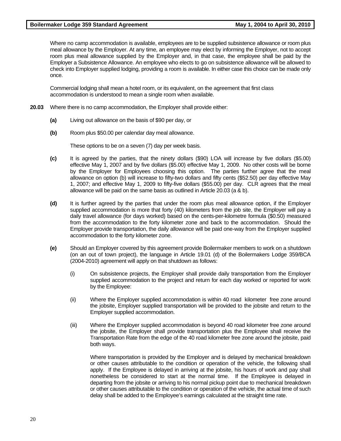Where no camp accommodation is available, employees are to be supplied subsistence allowance or room plus meal allowance by the Employer. At any time, an employee may elect by informing the Employer, not to accept room plus meal allowance supplied by the Employer and, in that case, the employee shall be paid by the Employer a Subsistence Allowance. An employee who elects to go on subsistence allowance will be allowed to check into Employer supplied lodging, providing a room is available. In either case this choice can be made only once.

 Commercial lodging shall mean a hotel room, or its equivalent, on the agreement that first class accommodation is understood to mean a single room when available.

- **20.03** Where there is no camp accommodation, the Employer shall provide either:
	- **(a)** Living out allowance on the basis of \$90 per day, or
	- **(b)** Room plus \$50.00 per calendar day meal allowance.

These options to be on a seven (7) day per week basis.

- **(c)** It is agreed by the parties, that the ninety dollars (\$90) LOA will increase by five dollars (\$5.00) effective May 1, 2007 and by five dollars (\$5.00) effective May 1, 2009. No other costs will be borne by the Employer for Employees choosing this option. The parties further agree that the meal allowance on option (b) will increase to fifty-two dollars and fifty cents (\$52.50) per day effective May 1, 2007; and effective May 1, 2009 to fifty-five dollars (\$55.00) per day. CLR agrees that the meal allowance will be paid on the same basis as outlined in Article 20.03 (a & b).
- **(d)** It is further agreed by the parties that under the room plus meal allowance option, if the Employer supplied accommodation is more that forty (40) kilometers from the job site, the Employer will pay a daily travel allowance (for days worked) based on the cents-per-kilometre formula (\$0.50) measured from the accommodation to the forty kilometer zone and back to the accommodation. Should the Employer provide transportation, the daily allowance will be paid one-way from the Employer supplied accommodation to the forty kilometer zone.
- **(e)** Should an Employer covered by this agreement provide Boilermaker members to work on a shutdown (on an out of town project), the language in Article 19.01 (d) of the Boilermakers Lodge 359/BCA (2004-2010) agreement will apply on that shutdown as follows:
	- (i) On subsistence projects, the Employer shall provide daily transportation from the Employer supplied accommodation to the project and return for each day worked or reported for work by the Employee:
	- (ii) Where the Employer supplied accommodation is within 40 road kilometer free zone around the jobsite, Employer supplied transportation will be provided to the jobsite and return to the Employer supplied accommodation.
	- (iii) Where the Employer supplied accommodation is beyond 40 road kilometer free zone around the jobsite, the Employer shall provide transportation plus the Employee shall receive the Transportation Rate from the edge of the 40 road kilometer free zone around the jobsite, paid both ways.

 Where transportation is provided by the Employer and is delayed by mechanical breakdown or other causes attributable to the condition or operation of the vehicle, the following shall apply. If the Employee is delayed in arriving at the jobsite, his hours of work and pay shall nonetheless be considered to start at the normal time. If the Employee is delayed in departing from the jobsite or arriving to his normal pickup point due to mechanical breakdown or other causes attributable to the condition or operation of the vehicle, the actual time of such delay shall be added to the Employee's earnings calculated at the straight time rate.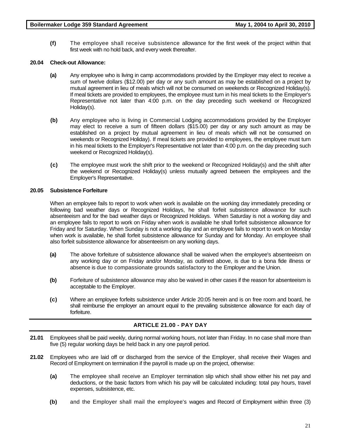**(f)** The employee shall receive subsistence allowance for the first week of the project within that first week with no hold back, and every week thereafter.

# **20.04 Check-out Allowance:**

- **(a)** Any employee who is living in camp accommodations provided by the Employer may elect to receive a sum of twelve dollars (\$12.00) per day or any such amount as may be established on a project by mutual agreement in lieu of meals which will not be consumed on weekends or Recognized Holiday(s). If meal tickets are provided to employees, the employee must turn in his meal tickets to the Employer's Representative not later than 4:00 p.m. on the day preceding such weekend or Recognized Holiday(s).
- **(b)** Any employee who is living in Commercial Lodging accommodations provided by the Employer may elect to receive a sum of fifteen dollars (\$15.00) per day or any such amount as may be established on a project by mutual agreement in lieu of meals which will not be consumed on weekends or Recognized Holiday). If meal tickets are provided to employees, the employee must turn in his meal tickets to the Employer's Representative not later than 4:00 p.m. on the day preceding such weekend or Recognized Holiday(s).
- **(c)** The employee must work the shift prior to the weekend or Recognized Holiday(s) and the shift after the weekend or Recognized Holiday(s) unless mutually agreed between the employees and the Employer's Representative.

# **20.05 Subsistence Forfeiture**

When an employee fails to report to work when work is available on the working day immediately preceding or following bad weather days or Recognized Holidays, he shall forfeit subsistence allowance for such absenteeism and for the bad weather days or Recognized Holidays. When Saturday is not a working day and an employee fails to report to work on Friday when work is available he shall forfeit subsistence allowance for Friday and for Saturday. When Sunday is not a working day and an employee fails to report to work on Monday when work is available, he shall forfeit subsistence allowance for Sunday and for Monday. An employee shall also forfeit subsistence allowance for absenteeism on any working days.

- **(a)** The above forfeiture of subsistence allowance shall be waived when the employee's absenteeism on any working day or on Friday and/or Monday, as outlined above, is due to a bona fide illness or absence is due to compassionate grounds satisfactory to the Employer and the Union.
- **(b)** Forfeiture of subsistence allowance may also be waived in other cases if the reason for absenteeism is acceptable to the Employer.
- **(c)** Where an employee forfeits subsistence under Article 20:05 herein and is on free room and board, he shall reimburse the employer an amount equal to the prevailing subsistence allowance for each day of forfeiture.

# **ARTICLE 21.00 - PAY DAY**

- **21.01** Employees shall be paid weekly, during normal working hours, not later than Friday. In no case shall more than five (5) regular working days be held back in any one payroll period.
- **21.02** Employees who are laid off or discharged from the service of the Employer, shall receive their Wages and Record of Employment on termination if the payroll is made up on the project, otherwise:
	- **(a)** The employee shall receive an Employer termination slip which shall show either his net pay and deductions, or the basic factors from which his pay will be calculated including: total pay hours, travel expenses, subsistence, etc.
	- **(b)** and the Employer shall mail the employee's wages and Record of Employment within three (3)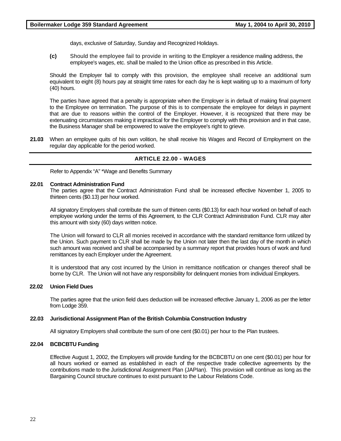days, exclusive of Saturday, Sunday and Recognized Holidays.

**(c)** Should the employee fail to provide in writing to the Employer a residence mailing address, the employee's wages, etc. shall be mailed to the Union office as prescribed in this Article.

Should the Employer fail to comply with this provision, the employee shall receive an additional sum equivalent to eight (8) hours pay at straight time rates for each day he is kept waiting up to a maximum of forty (40) hours.

The parties have agreed that a penalty is appropriate when the Employer is in default of making final payment to the Employee on termination. The purpose of this is to compensate the employee for delays in payment that are due to reasons within the control of the Employer. However, it is recognized that there may be extenuating circumstances making it impractical for the Employer to comply with this provision and in that case, the Business Manager shall be empowered to waive the employee's right to grieve.

**21.03** When an employee quits of his own volition, he shall receive his Wages and Record of Employment on the regular day applicable for the period worked.

#### **ARTICLE 22.00 - WAGES**

Refer to Appendix "A" \*Wage and Benefits Summary

#### **22.01 Contract Administration Fund**

The parties agree that the Contract Administration Fund shall be increased effective November 1, 2005 to thirteen cents (\$0.13) per hour worked.

All signatory Employers shall contribute the sum of thirteen cents (\$0.13) for each hour worked on behalf of each employee working under the terms of this Agreement, to the CLR Contract Administration Fund. CLR may alter this amount with sixty (60) days written notice.

The Union will forward to CLR all monies received in accordance with the standard remittance form utilized by the Union. Such payment to CLR shall be made by the Union not later then the last day of the month in which such amount was received and shall be accompanied by a summary report that provides hours of work and fund remittances by each Employer under the Agreement.

It is understood that any cost incurred by the Union in remittance notification or changes thereof shall be borne by CLR. The Union will not have any responsibility for delinquent monies from individual Employers.

#### **22.02 Union Field Dues**

The parties agree that the union field dues deduction will be increased effective January 1, 2006 as per the letter from Lodge 359.

#### **22.03 Jurisdictional Assignment Plan of the British Columbia Construction Industry**

All signatory Employers shall contribute the sum of one cent (\$0.01) per hour to the Plan trustees.

#### **22.04 BCBCBTU Funding**

Effective August 1, 2002, the Employers will provide funding for the BCBCBTU on one cent (\$0.01) per hour for all hours worked or earned as established in each of the respective trade collective agreements by the contributions made to the Jurisdictional Assignment Plan (JAPIan). This provision will continue as long as the Bargaining Council structure continues to exist pursuant to the Labour Relations Code.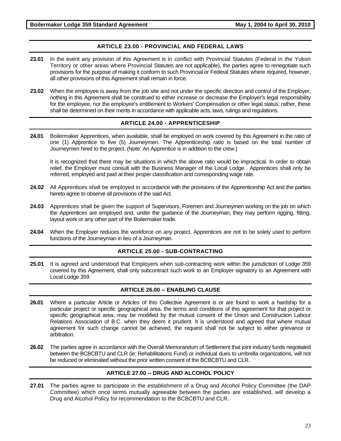# **ARTICLE 23.00 - PROVINCIAL AND FEDERAL LAWS**

- **23.01** In the event any provision of this Agreement is in conflict with Provincial Statutes (Federal in the Yukon Territory or other areas where Provincial Statutes are not applicable), the parties agree to renegotiate such provisions for the purpose of making it conform to such Provincial or Federal Statutes where required, however, all other provisions of this Agreement shall remain in force.
- **23.02** When the employee is away from the job site and not under the specific direction and control of the Employer, nothing in this Agreement shall be construed to either increase or decrease the Employer's legal responsibility for the employee, nor the employee's entitlement to Workers' Compensation or other legal status; rather, these shall be determined on their merits in accordance with applicable acts, laws, rulings and regulations.

#### **ARTICLE 24.00 - APPRENTICESHIP**

**24.01** Boilermaker Apprentices, when available, shall be employed on work covered by this Agreement in the ratio of one (1) Apprentice to five (5) Journeymen. The Apprenticeship ratio is based on the total number of Journeymen hired to the project. (Note: An Apprentice is in addition to the crew.)

It is recognized that there may be situations in which the above ratio would be impractical. In order to obtain relief, the Employer must consult with the Business Manager of the Local Lodge. Apprentices shall only be referred, employed and paid at their proper classification and corresponding wage rate.

- **24.02** All Apprentices shall be employed in accordance with the provisions of the Apprenticeship Act and the parties hereto agree to observe all provisions of the said Act.
- **24.03** Apprentices shall be given the support of Supervisors, Foremen and Journeymen working on the job on which the Apprentices are employed and, under the guidance of the Journeyman, they may perform rigging, fitting, layout work or any other part of the Boilermaker trade.
- **24.04** When the Employer reduces the workforce on any project, Apprentices are not to be solely used to perform functions of the Journeyman in lieu of a Journeyman.

#### **ARTICLE 25.00 - SUB-CONTRACTING**

**25.01** It is agreed and understood that Employers when sub-contracting work within the jurisdiction of Lodge 359 covered by this Agreement, shall only subcontract such work to an Employer signatory to an Agreement with Local Lodge 359.

### **ARTICLE 26.00 -- ENABLING CLAUSE**

- **26.01** Where a particular Article or Articles of this Collective Agreement is or are found to work a hardship for a particular project or specific geographical area, the terms and conditions of this agreement for that project or specific geographical area, may be modified by the mutual consent of the Union and Construction Labour Relations Association of B.C. when they deem it prudent. It is understood and agreed that where mutual agreement for such change cannot be achieved, the request shall not be subject to either grievance or arbitration.
- **26.02** The parties agree in accordance with the Overall Memorandum of Settlement that joint industry funds negotiated between the BCBCBTU and CLR (ie: Rehabilitations Fund) or individual dues to umbrella organizations, will not be reduced or eliminated without the prior written consent of the BCBCBTU and CLR.

### **ARTICLE 27.00 -- DRUG AND ALCOHOL POLICY**

**27.01** The parties agree to participate in the establishment of a Drug and Alcohol Policy Committee (the DAP Committee) which once terms mutually agreeable between the parties are established, will develop a Drug and Alcohol Policy for recommendation to the BCBCBTU and CLR.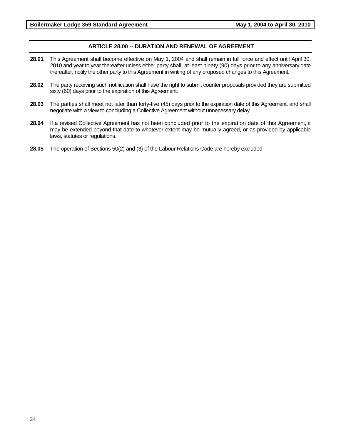# **ARTICLE 28.00 -- DURATION AND RENEWAL OF AGREEMENT**

- **28.01** This Agreement shall become effective on May 1, 2004 and shall remain in full force and effect until April 30, 2010 and year to year thereafter unless either party shall, at least ninety (90) days prior to any anniversary date thereafter, notify the other party to this Agreement in writing of any proposed changes to this Agreement.
- **28.02** The party receiving such notification shall have the right to submit counter proposals provided they are submitted sixty (60) days prior to the expiration of this Agreement.
- **28.03** The parties shall meet not later than forty-five (45) days prior to the expiration date of this Agreement, and shall negotiate with a view to concluding a Collective Agreement without unnecessary delay.
- **28.04** If a revised Collective Agreement has not been concluded prior to the expiration date of this Agreement, it may be extended beyond that date to whatever extent may be mutually agreed, or as provided by applicable laws, statutes or regulations.
- **28.05** The operation of Sections 50(2) and (3) of the Labour Relations Code are hereby excluded.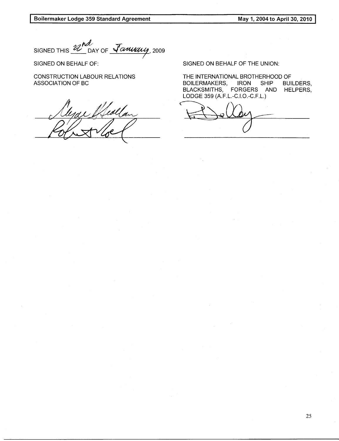Boilermaker Lodge 359 Standard Agreement

May 1, 2004 to April 30, 2010

SIGNED THIS 22 nd as DAY OF January, 2009

SIGNED ON BEHALF OF:

**CONSTRUCTION LABOUR RELATIONS** ASSOCIATION OF BC

Healtan

SIGNED ON BEHALF OF THE UNION:

THE INTERNATIONAL BROTHERHOOD OF **BOILERMAKERS, IRON** SHIP **BUILDERS,** BLACKSMITHS, FORGERS AND HELPERS, LODGE 359 (A.F.L.-C.I.O.-C.F.L.)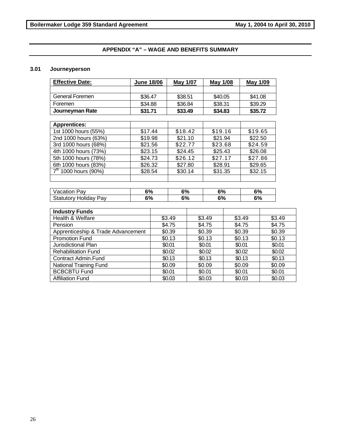# **APPENDIX "A" – WAGE AND BENEFITS SUMMARY**

#### **3.01 Journeyperson**

| <b>Effective Date:</b>         |                                    | <b>June 18/06</b> |                    | May 1/07 | <b>May 1/08</b>    |         | May 1/09 |         |        |
|--------------------------------|------------------------------------|-------------------|--------------------|----------|--------------------|---------|----------|---------|--------|
|                                |                                    |                   |                    |          |                    |         |          |         |        |
| General Foremen                | \$36.47                            |                   | \$38.51<br>\$36.84 |          | \$40.05<br>\$38.31 |         | \$41.08  |         |        |
| Foremen                        | \$34.88                            |                   |                    |          |                    |         | \$39.29  |         |        |
| Journeyman Rate                |                                    | \$31.71           |                    | \$33.49  |                    | \$34.83 |          | \$35.72 |        |
|                                |                                    |                   |                    |          |                    |         |          |         |        |
| <b>Apprentices:</b>            |                                    |                   |                    |          |                    |         |          |         |        |
| 1st 1000 hours (55%)           | \$17.44                            |                   | \$18.42            |          | \$19.16            |         | \$19.65  |         |        |
| 2nd 1000 hours (63%)           | \$19.98                            |                   | \$21.10            |          | \$21.94            |         | \$22.50  |         |        |
| 3rd 1000 hours (68%)           | \$21.56                            |                   | \$22.77            |          | \$23.68            |         | \$24.59  |         |        |
| 4th 1000 hours (73%)           | \$23.15                            |                   | \$24.45            |          | \$25.43            |         | \$26.08  |         |        |
| 5th 1000 hours (78%)           | \$24.73                            |                   | \$26.12<br>\$27.80 |          | \$27.17<br>\$28.91 |         | \$27.86  |         |        |
| 6th 1000 hours (83%)           | \$26.32                            |                   |                    |          |                    |         | \$29.65  |         |        |
| $\frac{1}{7}$ 1000 hours (90%) |                                    | \$28.54           |                    | \$30.14  |                    | \$31.35 |          | \$32.15 |        |
|                                |                                    |                   |                    |          |                    |         |          |         |        |
| Vacation Pay                   |                                    | 6%                |                    | 6%       |                    | 6%      |          | 6%      |        |
| <b>Statutory Holiday Pay</b>   |                                    | 6%                |                    | 6%       |                    | 6%      |          | 6%      |        |
| <b>Industry Funds</b>          |                                    |                   |                    |          |                    |         |          |         |        |
| Health & Welfare               |                                    | \$3.49            |                    |          | \$3.49             |         | \$3.49   |         | \$3.49 |
| Pension                        |                                    | \$4.75            |                    | \$4.75   |                    | \$4.75  |          |         | \$4.75 |
|                                | Apprenticeship & Trade Advancement |                   | \$0.39             |          | \$0.39             |         | \$0.39   |         | \$0.39 |
| <b>Promotion Fund</b>          |                                    | \$0.13            |                    | \$0.13   |                    | \$0.13  |          |         | \$0.13 |
| Jurisdictional Plan            |                                    | \$0.01            |                    | \$0.01   |                    | \$0.01  |          |         | \$0.01 |
| <b>Rehabilitation Fund</b>     |                                    | \$0.02            |                    | \$0.02   |                    | \$0.02  |          |         | \$0.02 |
| Contract Admin.Fund            |                                    | \$0.13            |                    | \$0.13   |                    | \$0.13  |          |         | \$0.13 |
| <b>National Training Fund</b>  |                                    | \$0.09            |                    | \$0.09   |                    | \$0.09  |          | \$0.09  |        |
| <b>BCBCBTU Fund</b>            |                                    | \$0.01            |                    | \$0.01   |                    | \$0.01  |          |         | \$0.01 |
| <b>Affiliation Fund</b>        |                                    | \$0.03            |                    | \$0.03   |                    | \$0.03  |          |         | \$0.03 |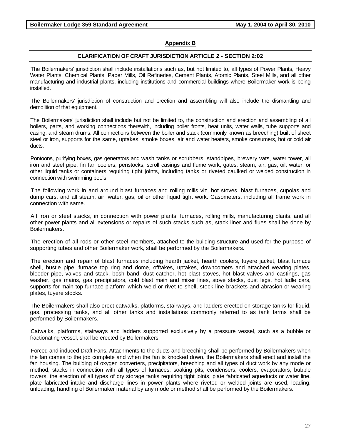# **Appendix B**

#### **CLARIFICATION OF CRAFT JURISDICTION ARTICLE 2 - SECTION 2:02**

The Boilermakers' jurisdiction shall include installations such as, but not limited to, all types of Power Plants, Heavy Water Plants, Chemical Plants, Paper Mills, Oil Refineries, Cement Plants, Atomic Plants, Steel Mills, and all other manufacturing and industrial plants, including institutions and commercial buildings where Boilermaker work is being installed.

The Boilermakers' jurisdiction of construction and erection and assembling will also include the dismantling and demolition of that equipment.

The Boilermakers' jurisdiction shall include but not be limited to, the construction and erection and assembling of all boilers, parts, and working connections therewith, including boiler fronts, heat units, water walls, tube supports and casing, and steam drums. All connections between the boiler and stack (commonly known as breeching) built of sheet steel or iron, supports for the same, uptakes, smoke boxes, air and water heaters, smoke consumers, hot or cold air ducts.

Pontoons, purifying boxes, gas generators and wash tanks or scrubbers, standpipes, brewery vats, water tower, all iron and steel pipe, fin fan coolers, penstocks, scroll casings and flume work, gates, steam, air, gas, oil, water, or other liquid tanks or containers requiring tight joints, including tanks or riveted caulked or welded construction in connection with swimming pools.

The following work in and around blast furnaces and rolling mills viz, hot stoves, blast furnaces, cupolas and dump cars, and all steam, air, water, gas, oil or other liquid tight work. Gasometers, including all frame work in connection with same.

All iron or steel stacks, in connection with power plants, furnaces, rolling mills, manufacturing plants, and all other power plants and all extensions or repairs of such stacks such as, stack liner and flues shall be done by Boilermakers.

The erection of all rods or other steel members, attached to the building structure and used for the purpose of supporting tubes and other Boilermaker work, shall be performed by the Boilermakers.

The erection and repair of blast furnaces including hearth jacket, hearth coolers, tuyere jacket, blast furnace shell, bustle pipe, furnace top ring and dome, offtakes, uptakes, downcomers and attached wearing plates, bleeder pipe, valves and stack, bosh band, dust catcher, hot blast stoves, hot blast valves and castings, gas washer, gas mains, gas precipitators, cold blast main and mixer lines, stove stacks, dust legs, hot ladle cars, supports for main top furnace platform which weld or rivet to shell, stock line brackets and abrasion or wearing plates, tuyere stocks.

The Boilermakers shall also erect catwalks, platforms, stairways, and ladders erected on storage tanks for liquid, gas, processing tanks, and all other tanks and installations commonly referred to as tank farms shall be performed by Boilermakers.

Catwalks, platforms, stairways and ladders supported exclusively by a pressure vessel, such as a bubble or fractionating vessel, shall be erected by Boilermakers.

Forced and induced Draft Fans. Attachments to the ducts and breeching shall be performed by Boilermakers when the fan comes to the job complete and when the fan is knocked down, the Boilermakers shall erect and install the fan housing. The building of oxygen converters, precipitators, breeching and all types of duct work by any mode or method, stacks in connection with all types of furnaces, soaking pits, condensers, coolers, evaporators, bubble towers, the erection of all types of dry storage tanks requiring tight joints, plate fabricated aqueducts or water line, plate fabricated intake and discharge lines in power plants where riveted or welded joints are used, loading, unloading, handling of Boilermaker material by any mode or method shall be performed by the Boilermakers.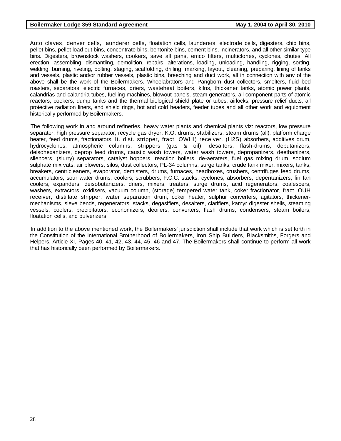Auto claves, denver cells, launderer cells, floatation cells, launderers, electrode cells, digesters, chip bins, pellet bins, pellet load out bins, concentrate bins, bentonite bins, cement bins, incinerators, and all other similar type bins. Digesters, brownstock washers, cookers, save all pans, emco filters, multiclones, cyclones, chutes. All erection, assembling, dismantling, demolition, repairs, alterations, loading, unloading, handling, rigging, sorting, welding, burning, riveting, bolting, staging, scaffolding, drilling, marking, layout, cleaning, preparing, lining of tanks and vessels, plastic and/or rubber vessels, plastic bins, breeching and duct work, all in connection with any of the above shall be the work of the Boilermakers. Wheelabrators and Pangborn dust collectors, smelters, fluid bed roasters, separators, electric furnaces, driers, wasteheat boilers, kilns, thickener tanks, atomic power plants, calandrias and calandria tubes, fuelling machines, blowout panels, steam generators, all component parts of atomic reactors, cookers, dump tanks and the thermal biological shield plate or tubes, airlocks, pressure relief ducts, all protective radiation liners, end shield rings, hot and cold headers, feeder tubes and all other work and equipment historically performed by Boilermakers.

The following work in and around refineries, heavy water plants and chemical plants viz: reactors, low pressure separator, high pressure separator, recycle gas dryer. K.O. drums, stabilizers, steam drums (all), platform charge heater, feed drums, fractionators, It. dist. stripper, fract. OWHI) receiver, (H2S) absorbers, additives drum, hydrocyclones, atmospheric columns, strippers (gas & oil), desalters, flash-drums, debutanizers, deisohexanizers, deprop feed drums, caustic wash towers, water wash towers, depropanizers, deethanizers, silencers, (slurry) separators, catalyst hoppers, reaction boilers, de-aeraters, fuel gas mixing drum, sodium sulphate mix vats, air blowers, silos, dust collectors, PL-34 columns, surge tanks, crude tank mixer, mixers, tanks, breakers, centricleaners, evaporator, demisters, drums, furnaces, headboxes, crushers, centrifuges feed drums, accumulators, sour water drums, coolers, scrubbers, F.C.C. stacks, cyclones, absorbers, depentanizers, fin fan coolers, expanders, deisobutanizers, driers, mixers, treaters, surge drums, acid regenerators, coalescers, washers, extractors, oxidisers, vacuum column, (storage) tempered water tank, coker fractionator, fract. OUH receiver, distillate stripper, water separation drum, coker heater, sulphur converters, agitators, thickenermechanisms, sieve bends, regenerators, stacks, degasifiers, desalters, clarifiers, kamyr digester shells, steaming vessels, coolers, precipitators, economizers, deoilers, converters, flash drums, condensers, steam boilers, floatation cells, and pulverizers.

In addition to the above mentioned work, the Boilermakers' jurisdiction shall include that work which is set forth in the Constitution of the International Brotherhood of Boilermakers, Iron Ship Builders, Blacksmiths, Forgers and Helpers, Article XI, Pages 40, 41, 42, 43, 44, 45, 46 and 47. The Boilermakers shall continue to perform all work that has historically been performed by Boilermakers.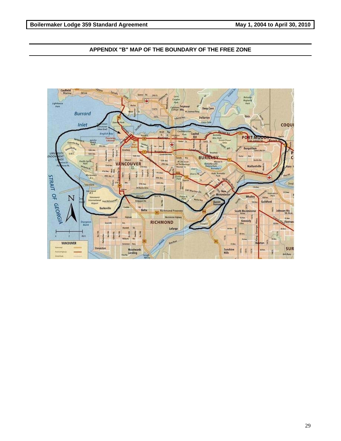# **APPENDIX "B" MAP OF THE BOUNDARY OF THE FREE ZONE**